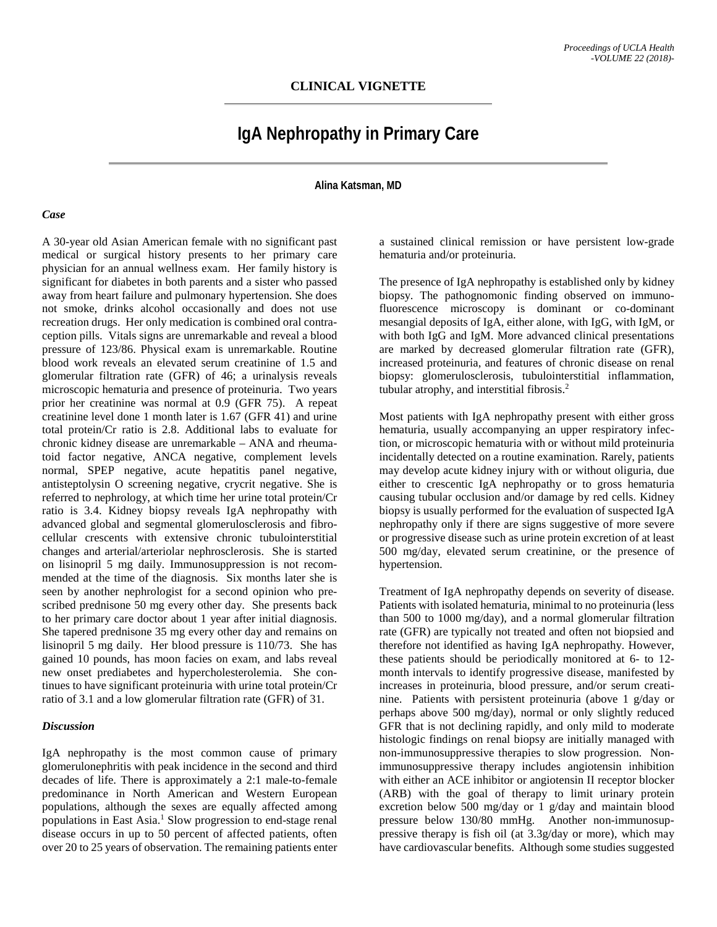## **IgA Nephropathy in Primary Care**

**Alina Katsman, MD**

## *Case*

A 30-year old Asian American female with no significant past medical or surgical history presents to her primary care physician for an annual wellness exam. Her family history is significant for diabetes in both parents and a sister who passed away from heart failure and pulmonary hypertension. She does not smoke, drinks alcohol occasionally and does not use recreation drugs. Her only medication is combined oral contraception pills. Vitals signs are unremarkable and reveal a blood pressure of 123/86. Physical exam is unremarkable. Routine blood work reveals an elevated serum creatinine of 1.5 and glomerular filtration rate (GFR) of 46; a urinalysis reveals microscopic hematuria and presence of proteinuria. Two years prior her creatinine was normal at 0.9 (GFR 75). A repeat creatinine level done 1 month later is 1.67 (GFR 41) and urine total protein/Cr ratio is 2.8. Additional labs to evaluate for chronic kidney disease are unremarkable – ANA and rheumatoid factor negative, ANCA negative, complement levels normal, SPEP negative, acute hepatitis panel negative, antisteptolysin O screening negative, crycrit negative. She is referred to nephrology, at which time her urine total protein/Cr ratio is 3.4. Kidney biopsy reveals IgA nephropathy with advanced global and segmental glomerulosclerosis and fibrocellular crescents with extensive chronic tubulointerstitial changes and arterial/arteriolar nephrosclerosis. She is started on lisinopril 5 mg daily. Immunosuppression is not recommended at the time of the diagnosis. Six months later she is seen by another nephrologist for a second opinion who prescribed prednisone 50 mg every other day. She presents back to her primary care doctor about 1 year after initial diagnosis. She tapered prednisone 35 mg every other day and remains on lisinopril 5 mg daily. Her blood pressure is 110/73. She has gained 10 pounds, has moon facies on exam, and labs reveal new onset prediabetes and hypercholesterolemia. She continues to have significant proteinuria with urine total protein/Cr ratio of 3.1 and a low glomerular filtration rate (GFR) of 31.

## *Discussion*

IgA nephropathy is the most common cause of primary glomerulonephritis with peak incidence in the second and third decades of life. There is approximately a 2:1 male-to-female predominance in North American and Western European populations, although the sexes are equally affected among populations in East Asia. <sup>1</sup> Slow progression to end-stage renal disease occurs in up to 50 percent of affected patients, often over 20 to 25 years of observation. The remaining patients enter

a sustained clinical remission or have persistent low-grade hematuria and/or proteinuria.

The presence of IgA nephropathy is established only by kidney biopsy. The pathognomonic finding observed on immunofluorescence microscopy is dominant or co-dominant mesangial deposits of IgA, either alone, with IgG, with IgM, or with both IgG and IgM. More advanced clinical presentations are marked by decreased glomerular filtration rate (GFR), increased proteinuria, and features of chronic disease on renal biopsy: glomerulosclerosis, tubulointerstitial inflammation, tubular atrophy, and interstitial fibrosis. 2

Most patients with IgA nephropathy present with either gross hematuria, usually accompanying an upper respiratory infection, or microscopic hematuria with or without mild proteinuria incidentally detected on a routine examination. Rarely, patients may develop acute kidney injury with or without oliguria, due either to crescentic IgA nephropathy or to gross hematuria causing tubular occlusion and/or damage by red cells. Kidney biopsy is usually performed for the evaluation of suspected IgA nephropathy only if there are signs suggestive of more severe or progressive disease such as urine protein excretion of at least 500 mg/day, elevated serum creatinine, or the presence of hypertension.

Treatment of IgA nephropathy depends on severity of disease. Patients with isolated hematuria, minimal to no proteinuria (less than 500 to 1000 mg/day), and a normal glomerular filtration rate (GFR) are typically not treated and often not biopsied and therefore not identified as having IgA nephropathy. However, these patients should be periodically monitored at 6- to 12 month intervals to identify progressive disease, manifested by increases in proteinuria, blood pressure, and/or serum creatinine. Patients with persistent proteinuria (above 1 g/day or perhaps above 500 mg/day), normal or only slightly reduced GFR that is not declining rapidly, and only mild to moderate histologic findings on renal biopsy are initially managed with non-immunosuppressive therapies to slow progression. Nonimmunosuppressive therapy includes angiotensin inhibition with either an ACE inhibitor or angiotensin II receptor blocker (ARB) with the goal of therapy to limit urinary protein excretion below 500 mg/day or 1 g/day and maintain blood pressure below 130/80 mmHg. Another non-immunosuppressive therapy is fish oil (at 3.3g/day or more), which may have cardiovascular benefits. Although some studies suggested